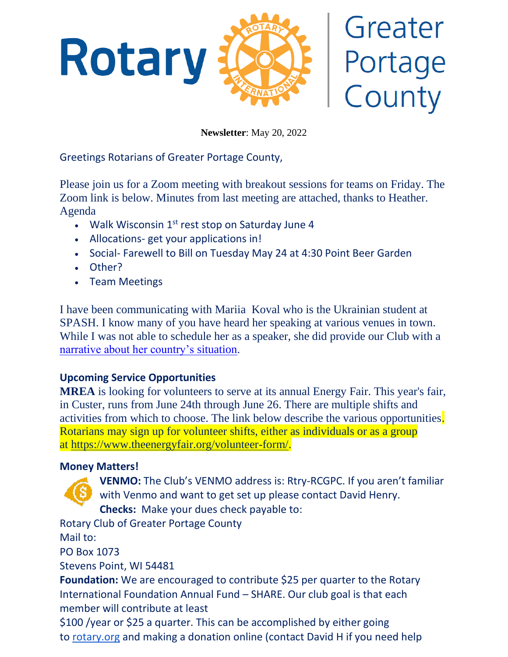

# Greater Portage County

**Newsletter**: May 20, 2022

Greetings Rotarians of Greater Portage County,

Please join us for a Zoom meeting with breakout sessions for teams on Friday. The Zoom link is below. Minutes from last meeting are attached, thanks to Heather. Agenda

- Walk Wisconsin  $1<sup>st</sup>$  rest stop on Saturday June 4
- Allocations- get your applications in!
- Social- Farewell to Bill on Tuesday May 24 at 4:30 Point Beer Garden
- Other?
- Team Meetings

I have been communicating with Mariia Koval who is the Ukrainian student at SPASH. I know many of you have heard her speaking at various venues in town. While I was not able to schedule her as a speaker, she did provide our Club with a [narrative about her country's](https://docs.google.com/document/d/1K9pmmvKQg6SIwamtqXDMqauxYPL9qWvnvn9E4bZ7jy0/edit) situation.

# **Upcoming Service Opportunities**

**MREA** is looking for volunteers to serve at its annual Energy Fair. This year's fair, in Custer, runs from June 24th through June 26. There are multiple shifts and activities from which to choose. The link below describe the various opportunities. Rotarians may sign up for volunteer shifts, either as individuals or as a group at [https://www.theenergyfair.org/volunteer-form/.](https://www.theenergyfair.org/volunteer-form/)

# **Money Matters!**

**VENMO:** The Club's VENMO address is: Rtry-RCGPC. If you aren't familiar with Venmo and want to get set up please contact David Henry. **Checks:** Make your dues check payable to:

Rotary Club of Greater Portage County

Mail to:

PO Box 1073

Stevens Point, WI 54481

**Foundation:** We are encouraged to contribute \$25 per quarter to the Rotary International Foundation Annual Fund – SHARE. Our club goal is that each member will contribute at least

\$100 /year or \$25 a quarter. This can be accomplished by either going to [rotary.org](http://rotary.org/) and making a donation online (contact David H if you need help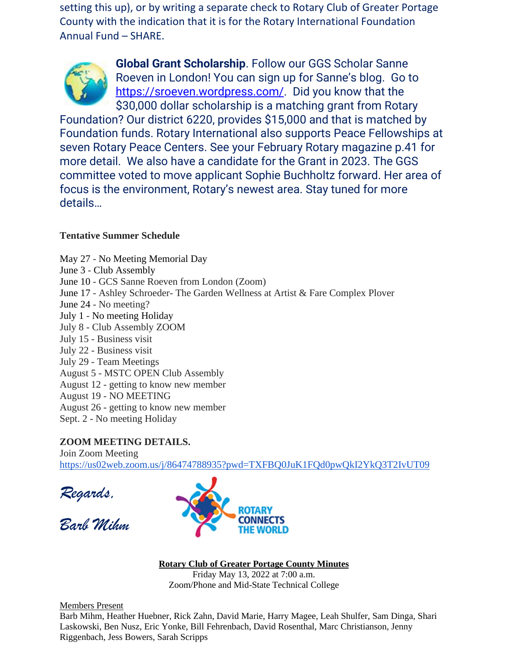setting this up), or by writing a separate check to Rotary Club of Greater Portage County with the indication that it is for the Rotary International Foundation Annual Fund – SHARE.



**Global Grant Scholarship**. Follow our GGS Scholar Sanne Roeven in London! You can sign up for Sanne's blog. Go to [https://sroeven.wordpress.com/.](https://sroeven.wordpress.com/) Did you know that the \$30,000 dollar scholarship is a matching grant from Rotary

Foundation? Our district 6220, provides \$15,000 and that is matched by Foundation funds. Rotary International also supports Peace Fellowships at seven Rotary Peace Centers. See your February Rotary magazine p.41 for more detail. We also have a candidate for the Grant in 2023. The GGS committee voted to move applicant Sophie Buchholtz forward. Her area of focus is the environment, Rotary's newest area. Stay tuned for more details…

### **Tentative Summer Schedule**

May 27 - No Meeting Memorial Day June 3 - Club Assembly June 10 - GCS Sanne Roeven from London (Zoom) June 17 - Ashley Schroeder- The Garden Wellness at Artist & Fare Complex Plover June 24 - No meeting? July 1 - No meeting Holiday July 8 - Club Assembly ZOOM July 15 - Business visit July 22 - Business visit July 29 - Team Meetings August 5 - MSTC OPEN Club Assembly August 12 - getting to know new member August 19 - NO MEETING August 26 - getting to know new member Sept. 2 - No meeting Holiday

## **ZOOM MEETING DETAILS.**

Join Zoom Meeting <https://us02web.zoom.us/j/86474788935?pwd=TXFBQ0JuK1FQd0pwQkI2YkQ3T2IvUT09>

*Regards,*

*Barb Mihm*



**Rotary Club of Greater Portage County Minutes**

Friday May 13, 2022 at 7:00 a.m. Zoom/Phone and Mid-State Technical College

Members Present

Barb Mihm, Heather Huebner, Rick Zahn, David Marie, Harry Magee, Leah Shulfer, Sam Dinga, Shari Laskowski, Ben Nusz, Eric Yonke, Bill Fehrenbach, David Rosenthal, Marc Christianson, Jenny Riggenbach, Jess Bowers, Sarah Scripps